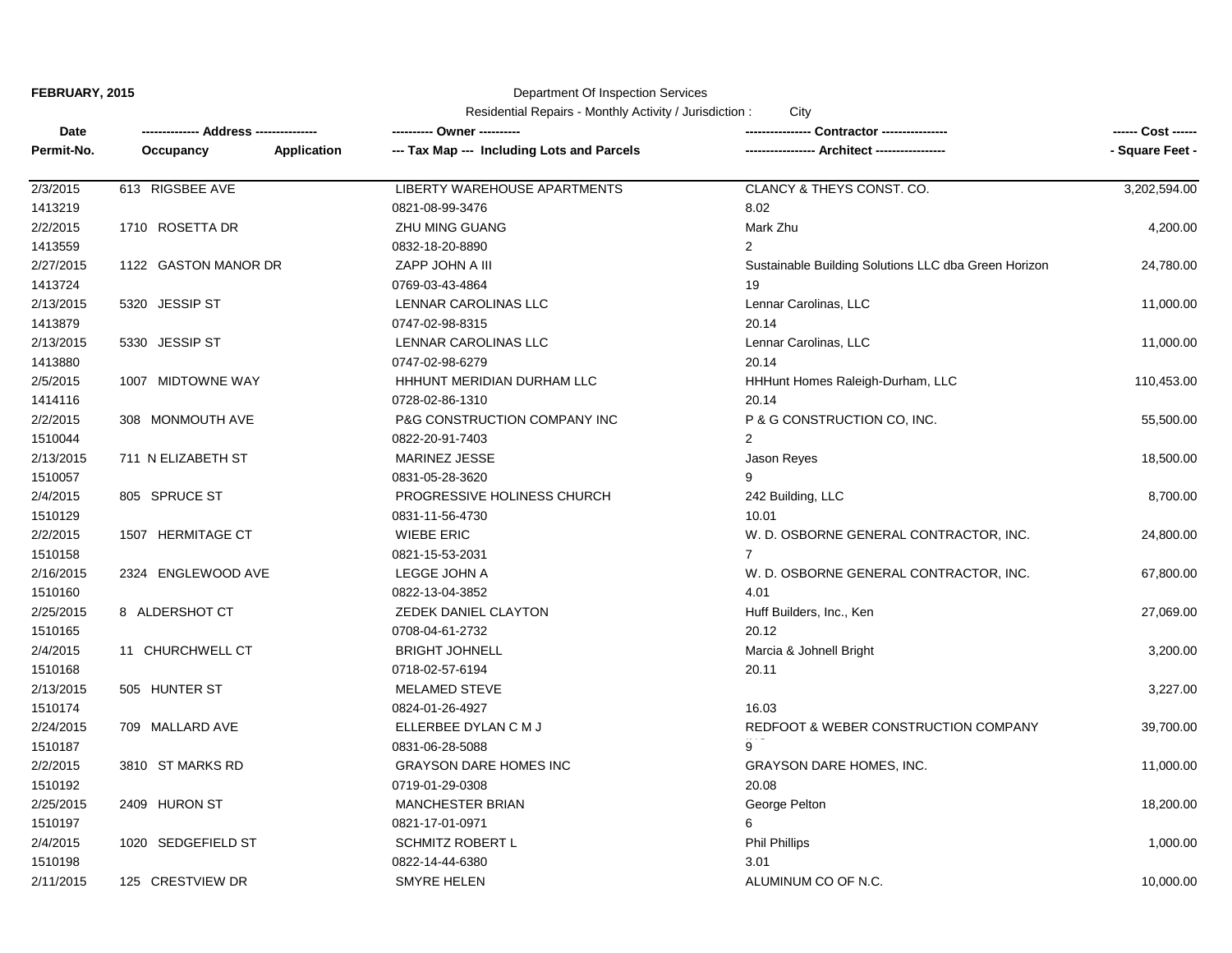## Department Of Inspection Services

| Date       |                      |                    | ---------- Owner ----------                | Contractor ----------------                          |                 |
|------------|----------------------|--------------------|--------------------------------------------|------------------------------------------------------|-----------------|
| Permit-No. | Occupancy            | <b>Application</b> | --- Tax Map --- Including Lots and Parcels | Architect -----------------                          | - Square Feet - |
| 2/3/2015   | 613 RIGSBEE AVE      |                    | LIBERTY WAREHOUSE APARTMENTS               | CLANCY & THEYS CONST. CO.                            | 3,202,594.00    |
| 1413219    |                      |                    | 0821-08-99-3476                            | 8.02                                                 |                 |
| 2/2/2015   | 1710 ROSETTA DR      |                    | ZHU MING GUANG                             | Mark Zhu                                             | 4,200.00        |
| 1413559    |                      |                    | 0832-18-20-8890                            | $\overline{2}$                                       |                 |
| 2/27/2015  | 1122 GASTON MANOR DR |                    | ZAPP JOHN A III                            | Sustainable Building Solutions LLC dba Green Horizon | 24,780.00       |
| 1413724    |                      |                    | 0769-03-43-4864                            | 19                                                   |                 |
| 2/13/2015  | 5320 JESSIP ST       |                    | LENNAR CAROLINAS LLC                       | Lennar Carolinas, LLC                                | 11,000.00       |
| 1413879    |                      |                    | 0747-02-98-8315                            | 20.14                                                |                 |
| 2/13/2015  | 5330 JESSIP ST       |                    | LENNAR CAROLINAS LLC                       | Lennar Carolinas, LLC                                | 11,000.00       |
| 1413880    |                      |                    | 0747-02-98-6279                            | 20.14                                                |                 |
| 2/5/2015   | 1007 MIDTOWNE WAY    |                    | HHHUNT MERIDIAN DURHAM LLC                 | HHHunt Homes Raleigh-Durham, LLC                     | 110,453.00      |
| 1414116    |                      |                    | 0728-02-86-1310                            | 20.14                                                |                 |
| 2/2/2015   | 308 MONMOUTH AVE     |                    | P&G CONSTRUCTION COMPANY INC               | P & G CONSTRUCTION CO, INC.                          | 55,500.00       |
| 1510044    |                      |                    | 0822-20-91-7403                            | 2                                                    |                 |
| 2/13/2015  | 711 N ELIZABETH ST   |                    | MARINEZ JESSE                              | Jason Reyes                                          | 18,500.00       |
| 1510057    |                      |                    | 0831-05-28-3620                            | 9                                                    |                 |
| 2/4/2015   | 805 SPRUCE ST        |                    | PROGRESSIVE HOLINESS CHURCH                | 242 Building, LLC                                    | 8,700.00        |
| 1510129    |                      |                    | 0831-11-56-4730                            | 10.01                                                |                 |
| 2/2/2015   | 1507 HERMITAGE CT    |                    | <b>WIEBE ERIC</b>                          | W. D. OSBORNE GENERAL CONTRACTOR, INC.               | 24,800.00       |
| 1510158    |                      |                    | 0821-15-53-2031                            | $\overline{7}$                                       |                 |
| 2/16/2015  | 2324 ENGLEWOOD AVE   |                    | LEGGE JOHN A                               | W. D. OSBORNE GENERAL CONTRACTOR, INC.               | 67,800.00       |
| 1510160    |                      |                    | 0822-13-04-3852                            | 4.01                                                 |                 |
| 2/25/2015  | 8 ALDERSHOT CT       |                    | ZEDEK DANIEL CLAYTON                       | Huff Builders, Inc., Ken                             | 27,069.00       |
| 1510165    |                      |                    | 0708-04-61-2732                            | 20.12                                                |                 |
| 2/4/2015   | 11 CHURCHWELL CT     |                    | <b>BRIGHT JOHNELL</b>                      | Marcia & Johnell Bright                              | 3,200.00        |
| 1510168    |                      |                    | 0718-02-57-6194                            | 20.11                                                |                 |
| 2/13/2015  | 505 HUNTER ST        |                    | MELAMED STEVE                              |                                                      | 3,227.00        |
| 1510174    |                      |                    | 0824-01-26-4927                            | 16.03                                                |                 |
| 2/24/2015  | 709 MALLARD AVE      |                    | ELLERBEE DYLAN C M J                       | REDFOOT & WEBER CONSTRUCTION COMPANY                 | 39,700.00       |
| 1510187    |                      |                    | 0831-06-28-5088                            | 9                                                    |                 |
| 2/2/2015   | 3810 ST MARKS RD     |                    | <b>GRAYSON DARE HOMES INC</b>              | <b>GRAYSON DARE HOMES, INC.</b>                      | 11,000.00       |
| 1510192    |                      |                    | 0719-01-29-0308                            | 20.08                                                |                 |
| 2/25/2015  | 2409 HURON ST        |                    | <b>MANCHESTER BRIAN</b>                    | George Pelton                                        | 18,200.00       |
| 1510197    |                      |                    | 0821-17-01-0971                            | 6                                                    |                 |
| 2/4/2015   | 1020 SEDGEFIELD ST   |                    | <b>SCHMITZ ROBERT L</b>                    | <b>Phil Phillips</b>                                 | 1,000.00        |
| 1510198    |                      |                    | 0822-14-44-6380                            | 3.01                                                 |                 |
| 2/11/2015  | 125 CRESTVIEW DR     |                    | SMYRE HELEN                                | ALUMINUM CO OF N.C.                                  | 10,000.00       |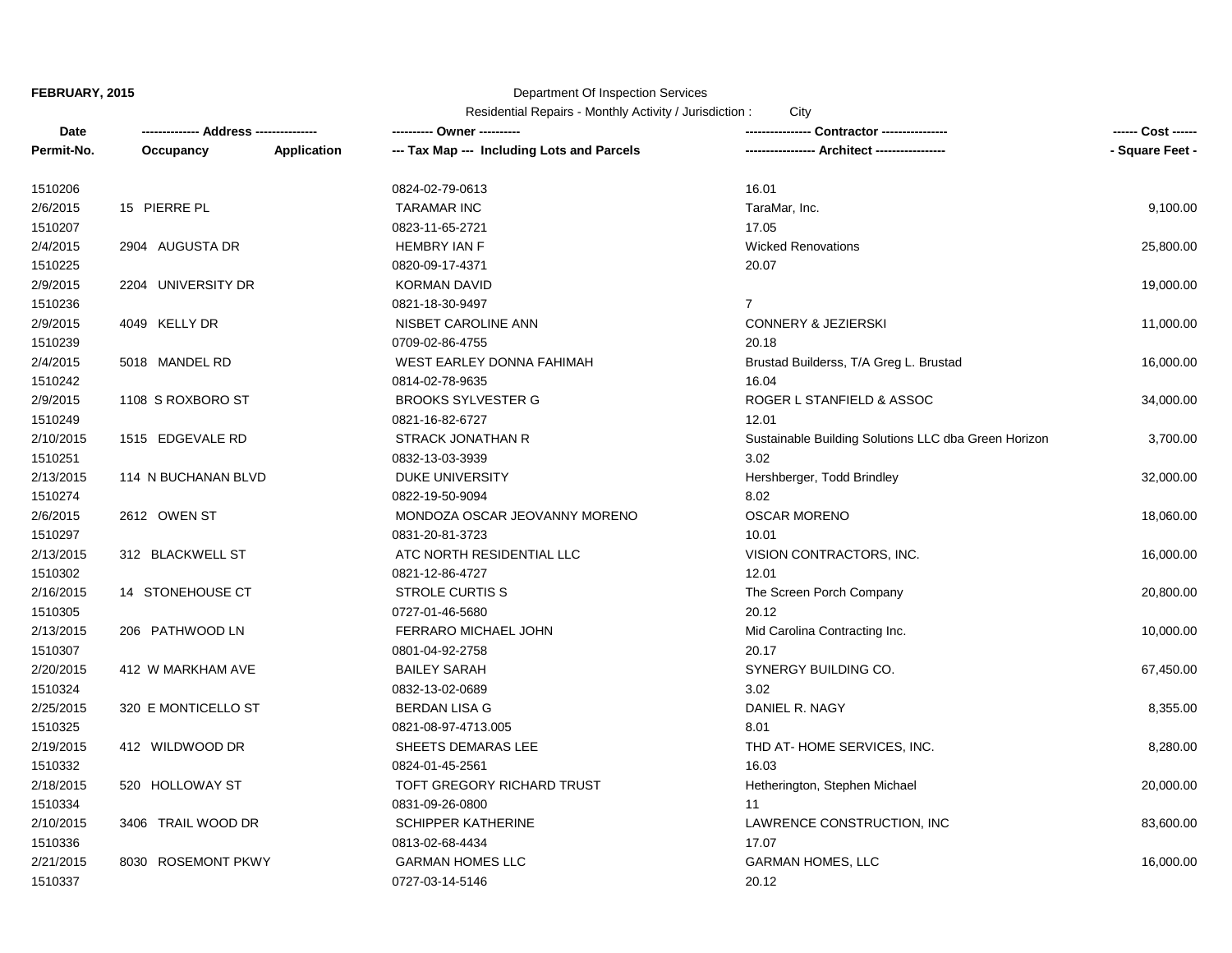## Department Of Inspection Services

| <b>Date</b> |                     |             |                                            |                                                      | ------ Cost ------ |
|-------------|---------------------|-------------|--------------------------------------------|------------------------------------------------------|--------------------|
| Permit-No.  | Occupancy           | Application | --- Tax Map --- Including Lots and Parcels | - Architect ----------------                         | - Square Feet -    |
| 1510206     |                     |             | 0824-02-79-0613                            | 16.01                                                |                    |
| 2/6/2015    | 15 PIERRE PL        |             | <b>TARAMAR INC</b>                         | TaraMar, Inc.                                        | 9,100.00           |
| 1510207     |                     |             | 0823-11-65-2721                            | 17.05                                                |                    |
| 2/4/2015    | 2904 AUGUSTA DR     |             | <b>HEMBRY IAN F</b>                        | <b>Wicked Renovations</b>                            | 25,800.00          |
| 1510225     |                     |             | 0820-09-17-4371                            | 20.07                                                |                    |
| 2/9/2015    | 2204 UNIVERSITY DR  |             | <b>KORMAN DAVID</b>                        |                                                      | 19,000.00          |
| 1510236     |                     |             | 0821-18-30-9497                            | $\overline{7}$                                       |                    |
| 2/9/2015    | 4049 KELLY DR       |             | NISBET CAROLINE ANN                        | <b>CONNERY &amp; JEZIERSKI</b>                       | 11,000.00          |
| 1510239     |                     |             | 0709-02-86-4755                            | 20.18                                                |                    |
| 2/4/2015    | 5018 MANDEL RD      |             | WEST EARLEY DONNA FAHIMAH                  | Brustad Builderss, T/A Greg L. Brustad               | 16,000.00          |
| 1510242     |                     |             | 0814-02-78-9635                            | 16.04                                                |                    |
| 2/9/2015    | 1108 S ROXBORO ST   |             | <b>BROOKS SYLVESTER G</b>                  | ROGER L STANFIELD & ASSOC                            | 34,000.00          |
| 1510249     |                     |             | 0821-16-82-6727                            | 12.01                                                |                    |
| 2/10/2015   | 1515 EDGEVALE RD    |             | STRACK JONATHAN R                          | Sustainable Building Solutions LLC dba Green Horizon | 3,700.00           |
| 1510251     |                     |             | 0832-13-03-3939                            | 3.02                                                 |                    |
| 2/13/2015   | 114 N BUCHANAN BLVD |             | DUKE UNIVERSITY                            | Hershberger, Todd Brindley                           | 32,000.00          |
| 1510274     |                     |             | 0822-19-50-9094                            | 8.02                                                 |                    |
| 2/6/2015    | 2612 OWEN ST        |             | MONDOZA OSCAR JEOVANNY MORENO              | <b>OSCAR MORENO</b>                                  | 18,060.00          |
| 1510297     |                     |             | 0831-20-81-3723                            | 10.01                                                |                    |
| 2/13/2015   | 312 BLACKWELL ST    |             | ATC NORTH RESIDENTIAL LLC                  | VISION CONTRACTORS, INC.                             | 16,000.00          |
| 1510302     |                     |             | 0821-12-86-4727                            | 12.01                                                |                    |
| 2/16/2015   | 14 STONEHOUSE CT    |             | STROLE CURTIS S                            | The Screen Porch Company                             | 20,800.00          |
| 1510305     |                     |             | 0727-01-46-5680                            | 20.12                                                |                    |
| 2/13/2015   | 206 PATHWOOD LN     |             | FERRARO MICHAEL JOHN                       | Mid Carolina Contracting Inc.                        | 10,000.00          |
| 1510307     |                     |             | 0801-04-92-2758                            | 20.17                                                |                    |
| 2/20/2015   | 412 W MARKHAM AVE   |             | <b>BAILEY SARAH</b>                        | SYNERGY BUILDING CO.                                 | 67,450.00          |
| 1510324     |                     |             | 0832-13-02-0689                            | 3.02                                                 |                    |
| 2/25/2015   | 320 E MONTICELLO ST |             | <b>BERDAN LISA G</b>                       | DANIEL R. NAGY                                       | 8,355.00           |
| 1510325     |                     |             | 0821-08-97-4713.005                        | 8.01                                                 |                    |
| 2/19/2015   | 412 WILDWOOD DR     |             | SHEETS DEMARAS LEE                         | THD AT-HOME SERVICES, INC.                           | 8,280.00           |
| 1510332     |                     |             | 0824-01-45-2561                            | 16.03                                                |                    |
| 2/18/2015   | 520 HOLLOWAY ST     |             | TOFT GREGORY RICHARD TRUST                 | Hetherington, Stephen Michael                        | 20,000.00          |
| 1510334     |                     |             | 0831-09-26-0800                            | 11                                                   |                    |
| 2/10/2015   | 3406 TRAIL WOOD DR  |             | <b>SCHIPPER KATHERINE</b>                  | LAWRENCE CONSTRUCTION, INC                           | 83,600.00          |
| 1510336     |                     |             | 0813-02-68-4434                            | 17.07                                                |                    |
| 2/21/2015   | 8030 ROSEMONT PKWY  |             | <b>GARMAN HOMES LLC</b>                    | <b>GARMAN HOMES, LLC</b>                             | 16,000.00          |
| 1510337     |                     |             | 0727-03-14-5146                            | 20.12                                                |                    |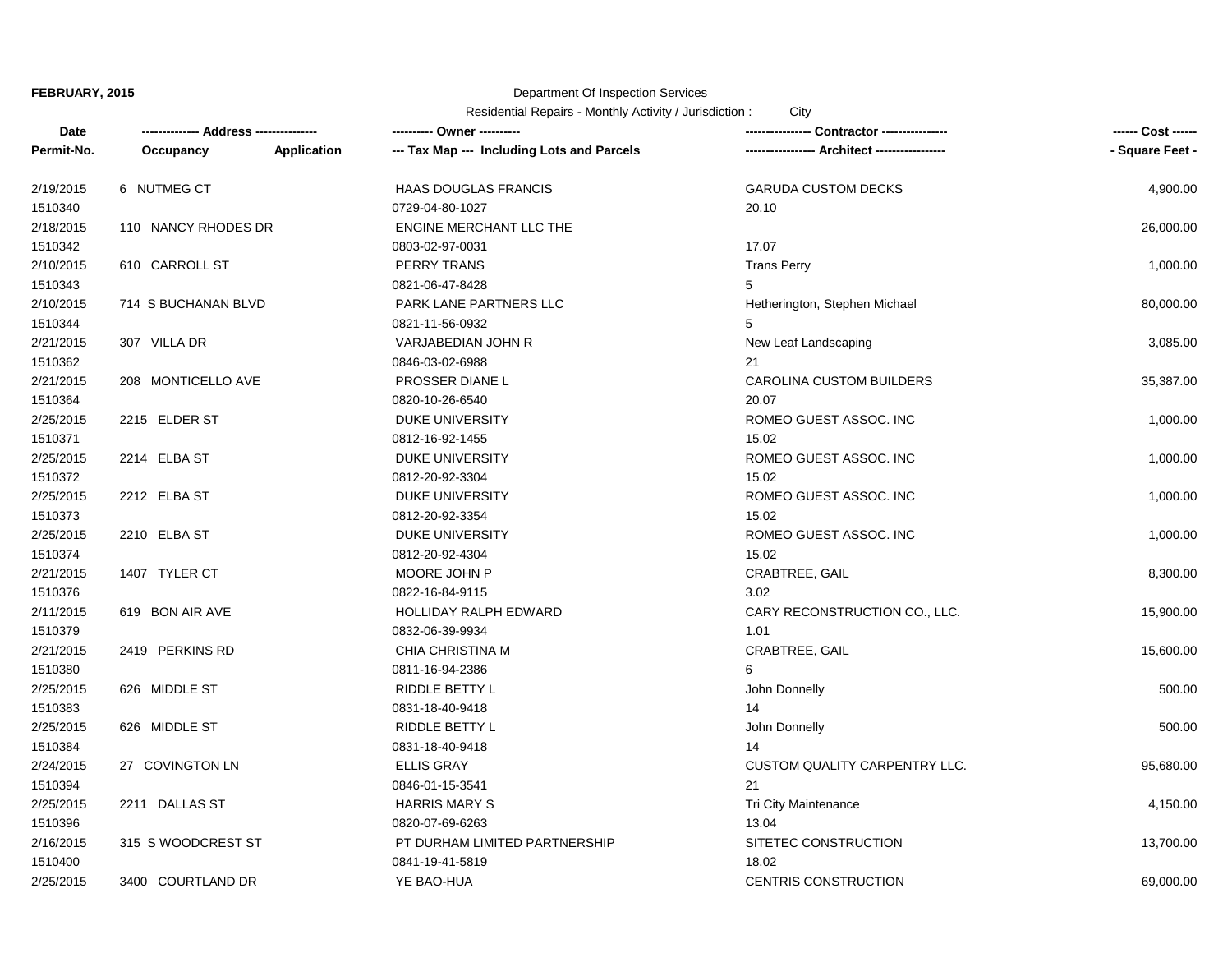## Department Of Inspection Services

| Date       |                     |             | ---------- Owner ----------                | Contractor ----------------          | ------ Cost ------ |
|------------|---------------------|-------------|--------------------------------------------|--------------------------------------|--------------------|
| Permit-No. | Occupancy           | Application | --- Tax Map --- Including Lots and Parcels | - Architect -----------------        | - Square Feet -    |
| 2/19/2015  | 6 NUTMEG CT         |             | <b>HAAS DOUGLAS FRANCIS</b>                | <b>GARUDA CUSTOM DECKS</b>           | 4,900.00           |
| 1510340    |                     |             | 0729-04-80-1027                            | 20.10                                |                    |
| 2/18/2015  | 110 NANCY RHODES DR |             | <b>ENGINE MERCHANT LLC THE</b>             |                                      | 26,000.00          |
| 1510342    |                     |             | 0803-02-97-0031                            | 17.07                                |                    |
| 2/10/2015  | 610 CARROLL ST      |             | <b>PERRY TRANS</b>                         | <b>Trans Perry</b>                   | 1,000.00           |
| 1510343    |                     |             | 0821-06-47-8428                            | 5                                    |                    |
| 2/10/2015  | 714 S BUCHANAN BLVD |             | PARK LANE PARTNERS LLC                     | Hetherington, Stephen Michael        | 80,000.00          |
| 1510344    |                     |             | 0821-11-56-0932                            | 5                                    |                    |
| 2/21/2015  | 307 VILLA DR        |             | VARJABEDIAN JOHN R                         | New Leaf Landscaping                 | 3,085.00           |
| 1510362    |                     |             | 0846-03-02-6988                            | 21                                   |                    |
| 2/21/2015  | 208 MONTICELLO AVE  |             | PROSSER DIANE L                            | <b>CAROLINA CUSTOM BUILDERS</b>      | 35,387.00          |
| 1510364    |                     |             | 0820-10-26-6540                            | 20.07                                |                    |
| 2/25/2015  | 2215 ELDER ST       |             | DUKE UNIVERSITY                            | ROMEO GUEST ASSOC. INC               | 1,000.00           |
| 1510371    |                     |             | 0812-16-92-1455                            | 15.02                                |                    |
| 2/25/2015  | 2214 ELBA ST        |             | <b>DUKE UNIVERSITY</b>                     | ROMEO GUEST ASSOC. INC               | 1,000.00           |
| 1510372    |                     |             | 0812-20-92-3304                            | 15.02                                |                    |
| 2/25/2015  | 2212 ELBA ST        |             | DUKE UNIVERSITY                            | ROMEO GUEST ASSOC. INC               | 1,000.00           |
| 1510373    |                     |             | 0812-20-92-3354                            | 15.02                                |                    |
| 2/25/2015  | 2210 ELBA ST        |             | DUKE UNIVERSITY                            | ROMEO GUEST ASSOC. INC               | 1,000.00           |
| 1510374    |                     |             | 0812-20-92-4304                            | 15.02                                |                    |
| 2/21/2015  | 1407 TYLER CT       |             | MOORE JOHN P                               | <b>CRABTREE, GAIL</b>                | 8,300.00           |
| 1510376    |                     |             | 0822-16-84-9115                            | 3.02                                 |                    |
| 2/11/2015  | 619 BON AIR AVE     |             | HOLLIDAY RALPH EDWARD                      | CARY RECONSTRUCTION CO., LLC.        | 15,900.00          |
| 1510379    |                     |             | 0832-06-39-9934                            | 1.01                                 |                    |
| 2/21/2015  | 2419 PERKINS RD     |             | CHIA CHRISTINA M                           | CRABTREE, GAIL                       | 15,600.00          |
| 1510380    |                     |             | 0811-16-94-2386                            | 6                                    |                    |
| 2/25/2015  | 626 MIDDLE ST       |             | RIDDLE BETTY L                             | John Donnelly                        | 500.00             |
| 1510383    |                     |             | 0831-18-40-9418                            | 14                                   |                    |
| 2/25/2015  | 626 MIDDLE ST       |             | RIDDLE BETTY L                             | John Donnelly                        | 500.00             |
| 1510384    |                     |             | 0831-18-40-9418                            | 14                                   |                    |
| 2/24/2015  | 27 COVINGTON LN     |             | <b>ELLIS GRAY</b>                          | <b>CUSTOM QUALITY CARPENTRY LLC.</b> | 95,680.00          |
| 1510394    |                     |             | 0846-01-15-3541                            | 21                                   |                    |
| 2/25/2015  | 2211 DALLAS ST      |             | <b>HARRIS MARY S</b>                       | Tri City Maintenance                 | 4,150.00           |
| 1510396    |                     |             | 0820-07-69-6263                            | 13.04                                |                    |
| 2/16/2015  | 315 S WOODCREST ST  |             | PT DURHAM LIMITED PARTNERSHIP              | SITETEC CONSTRUCTION                 | 13,700.00          |
| 1510400    |                     |             | 0841-19-41-5819                            | 18.02                                |                    |
| 2/25/2015  | 3400 COURTLAND DR   |             | YE BAO-HUA                                 | <b>CENTRIS CONSTRUCTION</b>          | 69,000.00          |